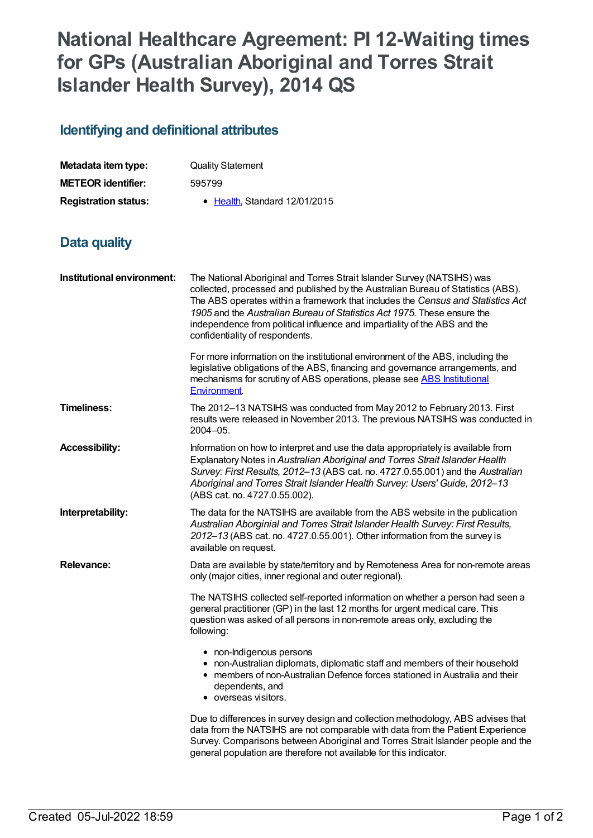## **National Healthcare Agreement: PI 12-Waiting times for GPs (Australian Aboriginal and Torres Strait Islander Health Survey), 2014 QS**

## **Identifying and definitional attributes**

| Metadata item type:         | <b>Quality Statement</b>     |
|-----------------------------|------------------------------|
| <b>METEOR identifier:</b>   | 595799                       |
| <b>Registration status:</b> | • Health Standard 12/01/2015 |

## **Data quality**

| Institutional environment: | The National Aboriginal and Torres Strait Islander Survey (NATSIHS) was<br>collected, processed and published by the Australian Bureau of Statistics (ABS).<br>The ABS operates within a framework that includes the Census and Statistics Act<br>1905 and the Australian Bureau of Statistics Act 1975. These ensure the<br>independence from political influence and impartiality of the ABS and the<br>confidentiality of respondents. |
|----------------------------|-------------------------------------------------------------------------------------------------------------------------------------------------------------------------------------------------------------------------------------------------------------------------------------------------------------------------------------------------------------------------------------------------------------------------------------------|
|                            | For more information on the institutional environment of the ABS, including the<br>legislative obligations of the ABS, financing and governance arrangements, and<br>mechanisms for scrutiny of ABS operations, please see ABS Institutional<br><b>Environment</b> .                                                                                                                                                                      |
| <b>Timeliness:</b>         | The 2012-13 NATSIHS was conducted from May 2012 to February 2013. First<br>results were released in November 2013. The previous NATSIHS was conducted in<br>$2004 - 05$ .                                                                                                                                                                                                                                                                 |
| <b>Accessibility:</b>      | Information on how to interpret and use the data appropriately is available from<br>Explanatory Notes in Australian Aboriginal and Torres Strait Islander Health<br>Survey: First Results, 2012-13 (ABS cat. no. 4727.0.55.001) and the Australian<br>Aboriginal and Torres Strait Islander Health Survey: Users' Guide, 2012-13<br>(ABS cat. no. 4727.0.55.002).                                                                         |
| Interpretability:          | The data for the NATSIHS are available from the ABS website in the publication<br>Australian Aborginial and Torres Strait Islander Health Survey: First Results,<br>2012-13 (ABS cat. no. 4727.0.55.001). Other information from the survey is<br>available on request.                                                                                                                                                                   |
| <b>Relevance:</b>          | Data are available by state/territory and by Remoteness Area for non-remote areas<br>only (major cities, inner regional and outer regional).                                                                                                                                                                                                                                                                                              |
|                            | The NATSIHS collected self-reported information on whether a person had seen a<br>general practitioner (GP) in the last 12 months for urgent medical care. This<br>question was asked of all persons in non-remote areas only, excluding the<br>following:                                                                                                                                                                                |
|                            | • non-Indigenous persons<br>• non-Australian diplomats, diplomatic staff and members of their household<br>• members of non-Australian Defence forces stationed in Australia and their<br>dependents, and<br>• overseas visitors.                                                                                                                                                                                                         |
|                            | Due to differences in survey design and collection methodology, ABS advises that<br>data from the NATSIHS are not comparable with data from the Patient Experience<br>Survey. Comparisons between Aboriginal and Torres Strait Islander people and the<br>general population are therefore not available for this indicator.                                                                                                              |